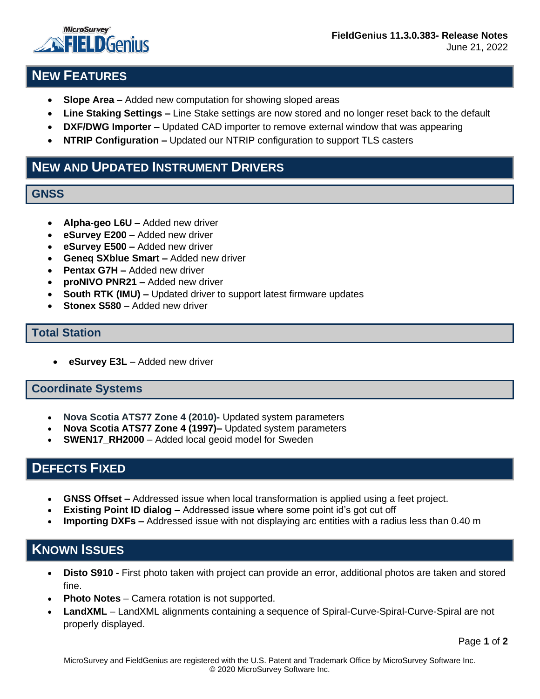

## **NEW FEATURES**

- **Slope Area –** Added new computation for showing sloped areas
- **Line Staking Settings –** Line Stake settings are now stored and no longer reset back to the default
- **DXF/DWG Importer –** Updated CAD importer to remove external window that was appearing
- **NTRIP Configuration –** Updated our NTRIP configuration to support TLS casters

## **NEW AND UPDATED INSTRUMENT DRIVERS**

#### **GNSS**

- **Alpha-geo L6U –** Added new driver
- **eSurvey E200 –** Added new driver
- **eSurvey E500 –** Added new driver
- **Geneq SXblue Smart –** Added new driver
- **Pentax G7H Added new driver**
- **proNIVO PNR21 –** Added new driver
- **South RTK (IMU) –** Updated driver to support latest firmware updates
- **Stonex S580** Added new driver

#### **Total Station**

• **eSurvey E3L** – Added new driver

#### **Coordinate Systems**

- **Nova Scotia ATS77 Zone 4 (2010)-** Updated system parameters
- **Nova Scotia ATS77 Zone 4 (1997)–** Updated system parameters
- **SWEN17\_RH2000** Added local geoid model for Sweden

### **DEFECTS FIXED**

- **GNSS Offset –** Addressed issue when local transformation is applied using a feet project.
- **Existing Point ID dialog –** Addressed issue where some point id's got cut off
- **Importing DXFs –** Addressed issue with not displaying arc entities with a radius less than 0.40 m

# **KNOWN ISSUES**

- **Disto S910 -** First photo taken with project can provide an error, additional photos are taken and stored fine.
- **Photo Notes** Camera rotation is not supported.
- **LandXML** LandXML alignments containing a sequence of Spiral-Curve-Spiral-Curve-Spiral are not properly displayed.